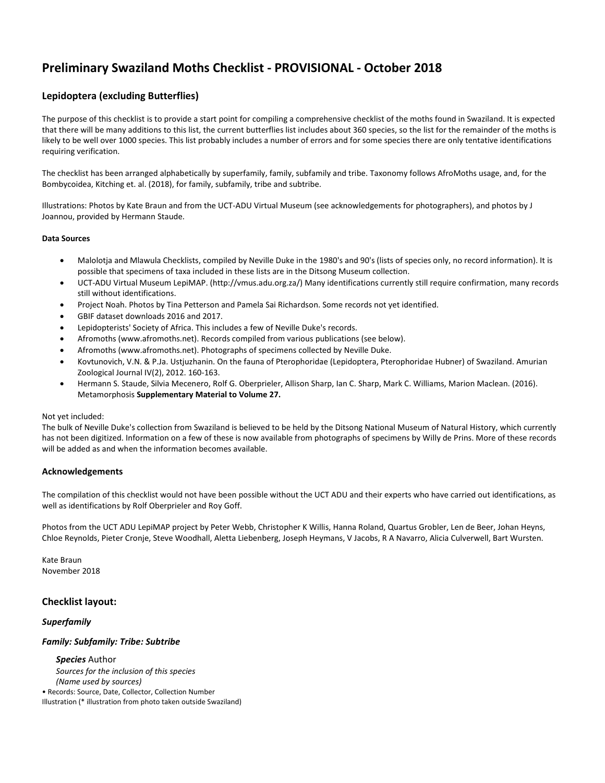# **Preliminary Swaziland Moths Checklist - PROVISIONAL - October 2018**

## **Lepidoptera (excluding Butterflies)**

The purpose of this checklist is to provide a start point for compiling a comprehensive checklist of the moths found in Swaziland. It is expected that there will be many additions to this list, the current butterflies list includes about 360 species, so the list for the remainder of the moths is likely to be well over 1000 species. This list probably includes a number of errors and for some species there are only tentative identifications requiring verification.

The checklist has been arranged alphabetically by superfamily, family, subfamily and tribe. Taxonomy follows AfroMoths usage, and, for the Bombycoidea, Kitching et. al. (2018), for family, subfamily, tribe and subtribe.

Illustrations: Photos by Kate Braun and from the UCT-ADU Virtual Museum (see acknowledgements for photographers), and photos by J Joannou, provided by Hermann Staude.

#### **Data Sources**

- Malolotja and Mlawula Checklists, compiled by Neville Duke in the 1980's and 90's (lists of species only, no record information). It is possible that specimens of taxa included in these lists are in the Ditsong Museum collection.
- UCT-ADU Virtual Museum LepiMAP. (http://vmus.adu.org.za/) Many identifications currently still require confirmation, many records still without identifications.
- Project Noah. Photos by Tina Petterson and Pamela Sai Richardson. Some records not yet identified.
- GBIF dataset downloads 2016 and 2017.
- Lepidopterists' Society of Africa. This includes a few of Neville Duke's records.
- Afromoths (www.afromoths.net). Records compiled from various publications (see below).
- Afromoths (www.afromoths.net). Photographs of specimens collected by Neville Duke.
- Kovtunovich, V.N. & P.Ja. Ustjuzhanin. On the fauna of Pterophoridae (Lepidoptera, Pterophoridae Hubner) of Swaziland. Amurian Zoological Journal IV(2), 2012. 160-163.
- Hermann S. Staude, Silvia Mecenero, Rolf G. Oberprieler, Allison Sharp, Ian C. Sharp, Mark C. Williams, Marion Maclean. (2016). Metamorphosis **Supplementary Material to Volume 27.**

#### Not yet included:

The bulk of Neville Duke's collection from Swaziland is believed to be held by the Ditsong National Museum of Natural History, which currently has not been digitized. Information on a few of these is now available from photographs of specimens by Willy de Prins. More of these records will be added as and when the information becomes available.

#### **Acknowledgements**

The compilation of this checklist would not have been possible without the UCT ADU and their experts who have carried out identifications, as well as identifications by Rolf Oberprieler and Roy Goff.

Photos from the UCT ADU LepiMAP project by Peter Webb, Christopher K Willis, Hanna Roland, Quartus Grobler, Len de Beer, Johan Heyns, Chloe Reynolds, Pieter Cronje, Steve Woodhall, Aletta Liebenberg, Joseph Heymans, V Jacobs, R A Navarro, Alicia Culverwell, Bart Wursten.

Kate Braun November 2018

#### **Checklist layout:**

### *Superfamily*

#### *Family: Subfamily: Tribe: Subtribe*

 *Species* Author  *Sources for the inclusion of this species (Name used by sources)*  • Records: Source, Date, Collector, Collection Number Illustration (\* illustration from photo taken outside Swaziland)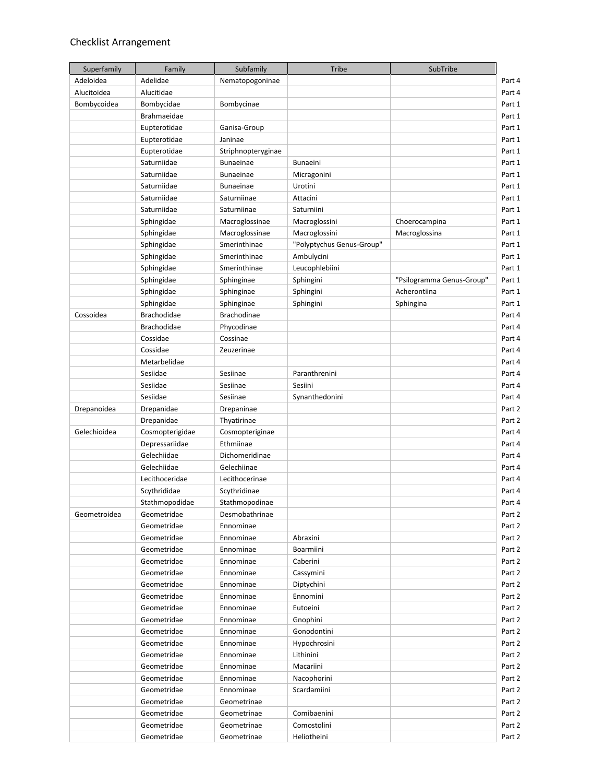## Checklist Arrangement

| Superfamily  | Family             | Subfamily          | <b>Tribe</b>              | SubTribe                  |
|--------------|--------------------|--------------------|---------------------------|---------------------------|
| Adeloidea    | Adelidae           | Nematopogoninae    |                           |                           |
| Alucitoidea  | Alucitidae         |                    |                           |                           |
| Bombycoidea  | Bombycidae         | Bombycinae         |                           |                           |
|              | Brahmaeidae        |                    |                           |                           |
|              | Eupterotidae       | Ganisa-Group       |                           |                           |
|              | Eupterotidae       | Janinae            |                           |                           |
|              | Eupterotidae       | Striphnopteryginae |                           |                           |
|              | Saturniidae        | <b>Bunaeinae</b>   | Bunaeini                  |                           |
|              | Saturniidae        | <b>Bunaeinae</b>   | Micragonini               |                           |
|              | Saturniidae        | <b>Bunaeinae</b>   | Urotini                   |                           |
|              | Saturniidae        | Saturniinae        | Attacini                  |                           |
|              | Saturniidae        | Saturniinae        | Saturniini                |                           |
|              | Sphingidae         | Macroglossinae     | Macroglossini             | Choerocampina             |
|              | Sphingidae         | Macroglossinae     | Macroglossini             | Macroglossina             |
|              | Sphingidae         | Smerinthinae       | "Polyptychus Genus-Group" |                           |
|              | Sphingidae         | Smerinthinae       | Ambulycini                |                           |
|              | Sphingidae         | Smerinthinae       | Leucophlebiini            |                           |
|              | Sphingidae         | Sphinginae         | Sphingini                 | "Psilogramma Genus-Group" |
|              | Sphingidae         | Sphinginae         | Sphingini                 | Acherontiina              |
|              | Sphingidae         | Sphinginae         | Sphingini                 | Sphingina                 |
| Cossoidea    | <b>Brachodidae</b> | <b>Brachodinae</b> |                           |                           |
|              | <b>Brachodidae</b> | Phycodinae         |                           |                           |
|              | Cossidae           | Cossinae           |                           |                           |
|              | Cossidae           | Zeuzerinae         |                           |                           |
|              | Metarbelidae       |                    |                           |                           |
|              | Sesiidae           | Sesiinae           | Paranthrenini             |                           |
|              | Sesiidae           | Sesiinae           | Sesiini                   |                           |
|              | Sesiidae           | Sesiinae           | Synanthedonini            |                           |
| Drepanoidea  | Drepanidae         | Drepaninae         |                           |                           |
|              | Drepanidae         | Thyatirinae        |                           |                           |
| Gelechioidea | Cosmopterigidae    | Cosmopteriginae    |                           |                           |
|              | Depressariidae     | Ethmiinae          |                           |                           |
|              | Gelechiidae        | Dichomeridinae     |                           |                           |
|              | Gelechiidae        | Gelechiinae        |                           |                           |
|              | Lecithoceridae     | Lecithocerinae     |                           |                           |
|              | Scythrididae       | Scythridinae       |                           |                           |
|              | Stathmopodidae     | Stathmopodinae     |                           |                           |
| Geometroidea | Geometridae        | Desmobathrinae     |                           |                           |
|              | Geometridae        | Ennominae          |                           |                           |
|              | Geometridae        | Ennominae          | Abraxini                  |                           |
|              | Geometridae        | Ennominae          | Boarmiini                 |                           |
|              | Geometridae        | Ennominae          | Caberini                  |                           |
|              | Geometridae        | Ennominae          | Cassymini                 |                           |
|              | Geometridae        | Ennominae          | Diptychini                |                           |
|              | Geometridae        | Ennominae          | Ennomini                  |                           |
|              | Geometridae        | Ennominae          | Eutoeini                  |                           |
|              | Geometridae        | Ennominae          | Gnophini                  |                           |
|              | Geometridae        | Ennominae          | Gonodontini               |                           |
|              | Geometridae        | Ennominae          | Hypochrosini              |                           |
|              | Geometridae        | Ennominae          | Lithinini                 |                           |
|              | Geometridae        | Ennominae          | Macariini                 |                           |
|              | Geometridae        | Ennominae          | Nacophorini               |                           |
|              | Geometridae        | Ennominae          | Scardamiini               |                           |
|              | Geometridae        | Geometrinae        |                           |                           |
|              | Geometridae        | Geometrinae        | Comibaenini               |                           |
|              | Geometridae        | Geometrinae        | Comostolini               |                           |
|              | Geometridae        | Geometrinae        | Heliotheini               |                           |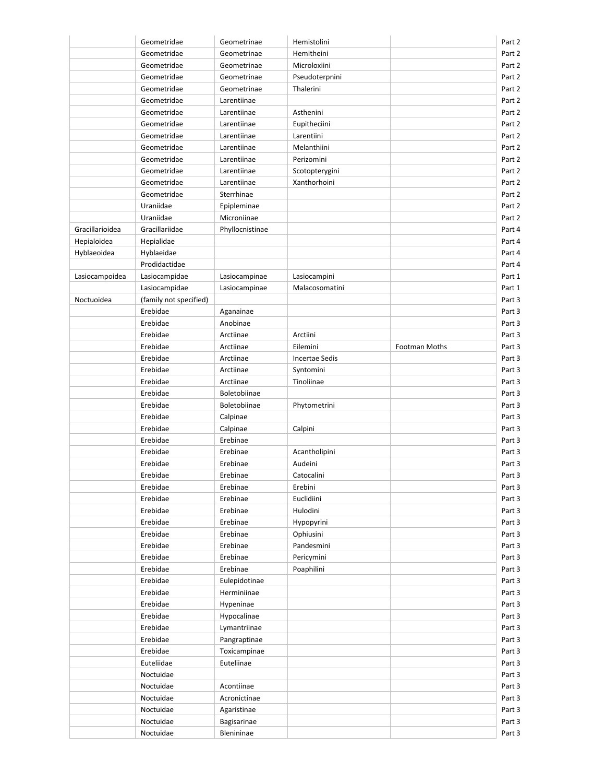|                 | Geometridae            | Geometrinae          | Hemistolini           |                      | Part 2 |
|-----------------|------------------------|----------------------|-----------------------|----------------------|--------|
|                 | Geometridae            | Geometrinae          | Hemitheini            |                      | Part 2 |
|                 | Geometridae            | Geometrinae          | Microloxiini          |                      | Part 2 |
|                 | Geometridae            | Geometrinae          | Pseudoterpnini        |                      | Part 2 |
|                 | Geometridae            | Geometrinae          | Thalerini             |                      | Part 2 |
|                 | Geometridae            | Larentiinae          |                       |                      | Part 2 |
|                 | Geometridae            | Larentiinae          | Asthenini             |                      | Part 2 |
|                 | Geometridae            | Larentiinae          | Eupitheciini          |                      | Part 2 |
|                 | Geometridae            | Larentiinae          | Larentiini            |                      | Part 2 |
|                 | Geometridae            | Larentiinae          | Melanthiini           |                      | Part 2 |
|                 | Geometridae            | Larentiinae          | Perizomini            |                      | Part 2 |
|                 | Geometridae            | Larentiinae          | Scotopterygini        |                      | Part 2 |
|                 | Geometridae            | Larentiinae          | Xanthorhoini          |                      | Part 2 |
|                 | Geometridae            | Sterrhinae           |                       |                      | Part 2 |
|                 | Uraniidae              | Epipleminae          |                       |                      | Part 2 |
|                 | Uraniidae              | Microniinae          |                       |                      | Part 2 |
| Gracillarioidea | Gracillariidae         | Phyllocnistinae      |                       |                      | Part 4 |
| Hepialoidea     | Hepialidae             |                      |                       |                      | Part 4 |
| Hyblaeoidea     | Hyblaeidae             |                      |                       |                      | Part 4 |
|                 | Prodidactidae          |                      |                       |                      | Part 4 |
| Lasiocampoidea  | Lasiocampidae          | Lasiocampinae        | Lasiocampini          |                      | Part 1 |
|                 | Lasiocampidae          | Lasiocampinae        | Malacosomatini        |                      | Part 1 |
| Noctuoidea      | (family not specified) |                      |                       |                      | Part 3 |
|                 | Erebidae               | Aganainae            |                       |                      | Part 3 |
|                 | Erebidae               | Anobinae             |                       |                      | Part 3 |
|                 | Erebidae               | Arctiinae            | Arctiini              |                      | Part 3 |
|                 | Erebidae               | Arctiinae            | Eilemini              | <b>Footman Moths</b> | Part 3 |
|                 | Erebidae               | Arctiinae            | <b>Incertae Sedis</b> |                      | Part 3 |
|                 | Erebidae               | Arctiinae            | Syntomini             |                      | Part 3 |
|                 | Erebidae               | Arctiinae            | Tinoliinae            |                      | Part 3 |
|                 | Erebidae               | Boletobiinae         |                       |                      | Part 3 |
|                 | Erebidae               | Boletobiinae         | Phytometrini          |                      | Part 3 |
|                 | Erebidae               | Calpinae             |                       |                      | Part 3 |
|                 | Erebidae               | Calpinae             | Calpini               |                      | Part 3 |
|                 | Erebidae               | Erebinae             |                       |                      | Part 3 |
|                 | Erebidae               | Erebinae             | Acantholipini         |                      | Part 3 |
|                 |                        |                      |                       |                      | Part 3 |
|                 | Erebidae               | Erebinae<br>Erebinae | Audeini<br>Catocalini |                      | Part 3 |
|                 | Erebidae               |                      |                       |                      |        |
|                 | Erebidae               | Erebinae             | Erebini               |                      | Part 3 |
|                 | Erebidae               | Erebinae             | Euclidiini            |                      | Part 3 |
|                 | Erebidae               | Erebinae             | Hulodini              |                      | Part 3 |
|                 | Erebidae               | Erebinae             | Hypopyrini            |                      | Part 3 |
|                 | Erebidae               | Erebinae             | Ophiusini             |                      | Part 3 |
|                 | Erebidae               | Erebinae             | Pandesmini            |                      | Part 3 |
|                 | Erebidae               | Erebinae             | Pericymini            |                      | Part 3 |
|                 | Erebidae               | Erebinae             | Poaphilini            |                      | Part 3 |
|                 | Erebidae               | Eulepidotinae        |                       |                      | Part 3 |
|                 | Erebidae               | Herminiinae          |                       |                      | Part 3 |
|                 | Erebidae               | Hypeninae            |                       |                      | Part 3 |
|                 | Erebidae               | Hypocalinae          |                       |                      | Part 3 |
|                 | Erebidae               | Lymantriinae         |                       |                      | Part 3 |
|                 | Erebidae               | Pangraptinae         |                       |                      | Part 3 |
|                 | Erebidae               | Toxicampinae         |                       |                      | Part 3 |
|                 | Euteliidae             | Euteliinae           |                       |                      | Part 3 |
|                 | Noctuidae              |                      |                       |                      | Part 3 |
|                 | Noctuidae              | Acontiinae           |                       |                      | Part 3 |
|                 | Noctuidae              | Acronictinae         |                       |                      | Part 3 |
|                 | Noctuidae              | Agaristinae          |                       |                      | Part 3 |
|                 | Noctuidae              | Bagisarinae          |                       |                      | Part 3 |
|                 | Noctuidae              | Blenininae           |                       |                      | Part 3 |
|                 |                        |                      |                       |                      |        |